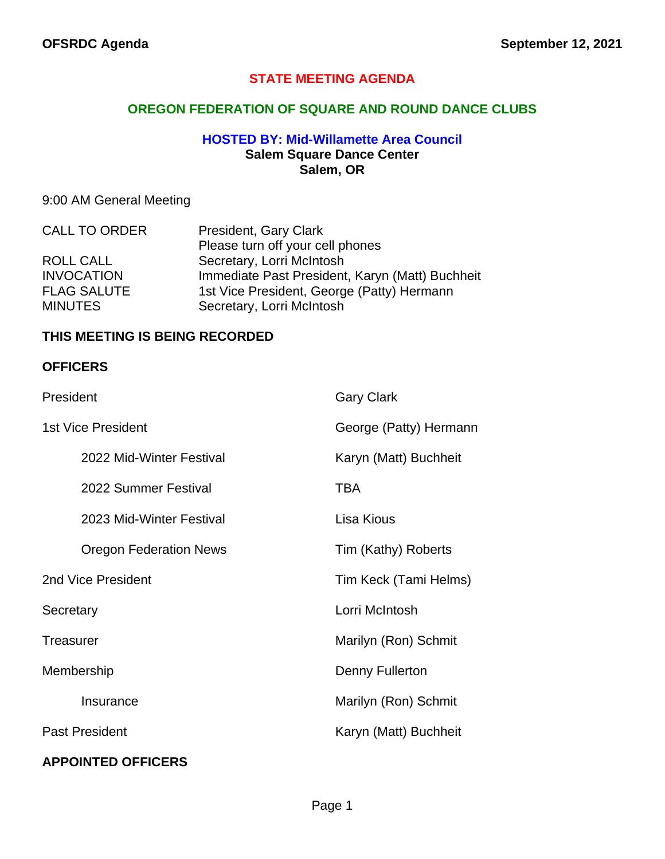## **STATE MEETING AGENDA**

## **OREGON FEDERATION OF SQUARE AND ROUND DANCE CLUBS**

## **HOSTED BY: Mid-Willamette Area Council Salem Square Dance Center Salem, OR**

# 9:00 AM General Meeting

| <b>CALL TO ORDER</b> | President, Gary Clark                           |
|----------------------|-------------------------------------------------|
|                      | Please turn off your cell phones                |
| ROLL CALL            | Secretary, Lorri McIntosh                       |
| <b>INVOCATION</b>    | Immediate Past President, Karyn (Matt) Buchheit |
| <b>FLAG SALUTE</b>   | 1st Vice President, George (Patty) Hermann      |
| <b>MINUTES</b>       | Secretary, Lorri McIntosh                       |

## **THIS MEETING IS BEING RECORDED**

### **OFFICERS**

| President                     | <b>Gary Clark</b>      |
|-------------------------------|------------------------|
| <b>1st Vice President</b>     | George (Patty) Hermann |
| 2022 Mid-Winter Festival      | Karyn (Matt) Buchheit  |
| 2022 Summer Festival          | <b>TBA</b>             |
| 2023 Mid-Winter Festival      | Lisa Kious             |
| <b>Oregon Federation News</b> | Tim (Kathy) Roberts    |
| 2nd Vice President            | Tim Keck (Tami Helms)  |
| Secretary                     | Lorri McIntosh         |
| <b>Treasurer</b>              | Marilyn (Ron) Schmit   |
| Membership                    | Denny Fullerton        |
| Insurance                     | Marilyn (Ron) Schmit   |
| <b>Past President</b>         | Karyn (Matt) Buchheit  |
| <b>APPOINTED OFFICERS</b>     |                        |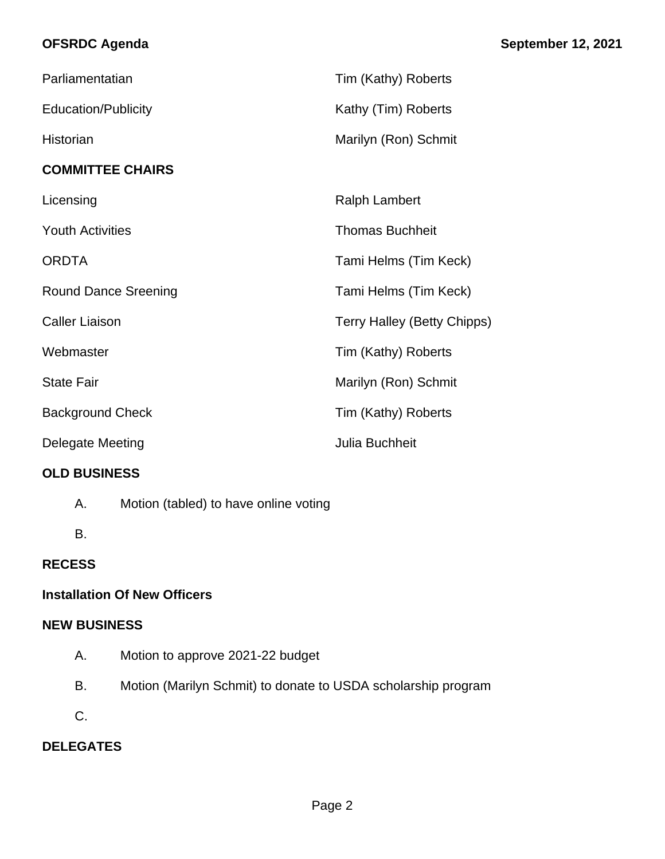## **OFSRDC Agenda September 12, 2021**

| Parliamentatian             | Tim (Kathy) Roberts                |
|-----------------------------|------------------------------------|
| <b>Education/Publicity</b>  | Kathy (Tim) Roberts                |
| Historian                   | Marilyn (Ron) Schmit               |
| <b>COMMITTEE CHAIRS</b>     |                                    |
| Licensing                   | <b>Ralph Lambert</b>               |
| <b>Youth Activities</b>     | <b>Thomas Buchheit</b>             |
| <b>ORDTA</b>                | Tami Helms (Tim Keck)              |
| <b>Round Dance Sreening</b> | Tami Helms (Tim Keck)              |
| <b>Caller Liaison</b>       | <b>Terry Halley (Betty Chipps)</b> |
| Webmaster                   | Tim (Kathy) Roberts                |
| <b>State Fair</b>           | Marilyn (Ron) Schmit               |
| <b>Background Check</b>     | Tim (Kathy) Roberts                |
| Delegate Meeting            | Julia Buchheit                     |

# **OLD BUSINESS**

A. Motion (tabled) to have online voting

B.

# **RECESS**

# **Installation Of New Officers**

# **NEW BUSINESS**

- A. Motion to approve 2021-22 budget
- B. Motion (Marilyn Schmit) to donate to USDA scholarship program
- C.

# **DELEGATES**